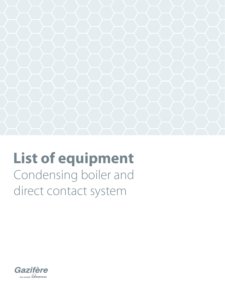

# **List of equipment** Condensing boiler and direct contact system

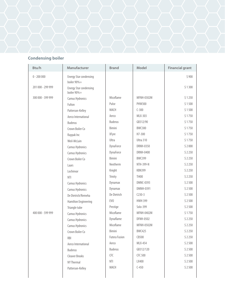#### **Condensing boiler**

| Btu/h             | Manufacturer                                 | <b>Brand</b>         | Model             | <b>Financial grant</b> |
|-------------------|----------------------------------------------|----------------------|-------------------|------------------------|
| $0 - 200000$      | <b>Energy Star condensing</b><br>boiler 90%+ |                      |                   | \$900                  |
| 201 000 - 299 999 | Energy Star condensing<br>boiler 90%+        |                      |                   | \$1300                 |
| 300 000 - 399 999 | Camus Hydronics                              | Micoflame            | MFNH-0302M        | \$1250                 |
|                   | Fulton                                       | Pulse                | <b>PHW300</b>     | \$1500                 |
|                   | Patterson-Kelley                             | MACH                 | $C-300$           | \$1500                 |
|                   | Aerco International                          | Aerco                | MLX-303           | \$1750                 |
|                   | <b>Buderus</b>                               | <b>Buderus</b>       | GB312/90          | \$1750                 |
|                   | Crown Boiler Co                              | Bimini               | <b>BWC300</b>     | \$1750                 |
|                   | Raypak Inc                                   | XFyre                | H7-300            | \$1750                 |
|                   | Weil-McLain                                  | Ultra                | Ultra 310         | \$1750                 |
|                   | Camus Hydronics                              | DynaForce            | <b>DRNH-0350</b>  | \$2000                 |
|                   | Camus Hydronics                              | DynaForce            | DRNH-0400         | \$2250                 |
|                   | Crown Boiler Co                              | Bimini               | <b>BWC399</b>     | \$2250                 |
|                   | Laars                                        | Neotherm             | NTH-399-N         | \$2250                 |
|                   | Lochinvar                                    | Knight               | <b>KBN399</b>     | \$2250                 |
|                   | <b>NTI</b>                                   | Trinity              | TI400             | \$2250                 |
|                   | Camus Hydronics                              | Dynamax              | DMNC-0393         | \$2500                 |
|                   | Camus Hydronics                              | Dynamax              | DMNH-0391         | \$2500                 |
|                   | De Dietrich/Remeha                           | De Dietrich          | $C230-3$          | \$2500                 |
|                   | Hamilton Engineering                         | EV <sub>0</sub>      | <b>HWH 399</b>    | \$2500                 |
|                   | Triangle tube                                | Prestige             | Solo-399          | \$2500                 |
| 400 000 - 599 999 | Camus Hydronics                              | Micoflame            | MFNH-0402M        | \$1750                 |
|                   | Camus Hydronics                              | Dynaflame            | <b>DFNH-0502</b>  | \$2250                 |
|                   | Camus Hydronics                              | Micoflame            | <b>MFNH-0502M</b> | \$2250                 |
|                   | Crown Boiler Co                              | Bimini               | <b>BWC425</b>     | \$2250                 |
|                   | <b>RBI</b>                                   | <b>Futera Fusion</b> | CB500             | \$2250                 |
|                   | Aerco International                          | Aerco                | <b>MLX-454</b>    | \$2500                 |
|                   | Buderus                                      | <b>Buderus</b>       | GB312/120         | \$2500                 |
|                   | <b>Cleaver Brooks</b>                        | CFC                  | CFC 500           | \$2500                 |
|                   | NY Thermal                                   | NTI                  | LX400             | \$2500                 |
|                   | Patterson-Kelley                             | MACH                 | $C-450$           | \$2500                 |
|                   |                                              |                      |                   |                        |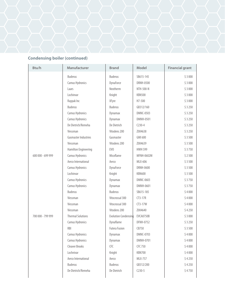

| Btu/h             | Manufacturer                | <b>Brand</b>         | Model            | <b>Financial grant</b> |
|-------------------|-----------------------------|----------------------|------------------|------------------------|
|                   | <b>Buderus</b>              | <b>Buderus</b>       | SB615-145        | \$3000                 |
|                   | Camus Hydronics             | DynaForce            | <b>DRNH-0500</b> | \$3000                 |
|                   | Laars                       | Neotherm             | NTH-500-N        | \$3000                 |
|                   | Lochinvar                   | Knight               | <b>KBN500</b>    | \$3000                 |
|                   | Raypak Inc                  | XFyre                | H7-500           | \$3000                 |
|                   | <b>Buderus</b>              | <b>Buderus</b>       | GB312/160        | \$3250                 |
|                   | Camus Hydronics             | Dynamax              | <b>DMNC-0503</b> | \$3250                 |
|                   | Camus Hydronics             | Dynamax              | DMNH-0501        | \$3250                 |
|                   | De Dietrich/Remeha          | De Dietrich          | $C230-4$         | \$3250                 |
|                   | Viessman                    | Vitodens 200         | Z004638          | \$3250                 |
|                   | <b>Gasmaster Industries</b> | Gasmaster            | GMI 600          | \$3500                 |
|                   | Viessman                    | Vitodens 200         | Z004639          | \$3500                 |
|                   | Hamilton Engineering        | EV <sub>0</sub>      | <b>HWH 599</b>   | \$3750                 |
| 600 000 - 699 999 | Camus Hydronics             | Micoflame            | MFNH-0602M       | \$2500                 |
|                   | Aerco International         | Aerco                | MLX-606          | \$3500                 |
|                   | Camus Hydronics             | DynaForce            | DRNH-0600        | \$3500                 |
|                   | Lochinvar                   | Knight               | <b>KBN600</b>    | \$3500                 |
|                   | Camus Hydronics             | Dynamax              | DMNC-0603        | \$3750                 |
|                   | Camus Hydronics             | Dynamax              | DMNH-0601        | \$3750                 |
|                   | <b>Buderus</b>              | <b>Buderus</b>       | SB615-185        | \$4000                 |
|                   | Viessman                    | Vitocrossal 300      | $CT3-17R$        | \$4000                 |
|                   | Viessman                    | Vitocrossal 300      | $CT3-17W$        | \$4000                 |
|                   | Viessman                    | Vitodens 200         | Z004640          | \$4250                 |
| 700 000 - 799 999 | <b>Thermal Solutions</b>    | Evolution Condensing | EVCA0750B        | \$3000                 |
|                   | Camus Hydronics             | Dynaflame            | DFNH-0752        | \$3250                 |
|                   | RBI                         | <b>Futera Fusion</b> | CB750            | \$3500                 |
|                   | Camus Hydronics             | Dynamax              | <b>DMNC-0703</b> | \$4000                 |
|                   | Camus Hydronics             | Dynamax              | DMNH-0701        | \$4000                 |
|                   | <b>Cleaver Brooks</b>       | CFC                  | CFC 750          | \$4000                 |
|                   | Lochnivar                   | Knight               | KBN700           | \$4000                 |
|                   | Aerco International         | Aerco                | <b>MLX-757</b>   | \$4250                 |
|                   | <b>Buderus</b>              | <b>Buderus</b>       | GB312/200        | \$4250                 |
|                   | De Dietrich/Remeha          | De Dietrich          | $C230-5$         | \$4750                 |
|                   |                             |                      |                  |                        |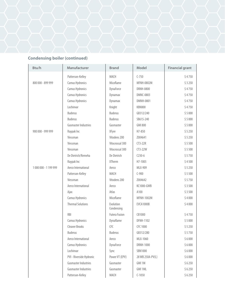

| Btu/h               | Manufacturer                | <b>Brand</b>            | Model             | <b>Financial grant</b> |
|---------------------|-----------------------------|-------------------------|-------------------|------------------------|
|                     | Patterson-Kelley            | MACH                    | $C-750$           | \$4750                 |
| 800 000 - 899 999   | Camus Hydronics             | Micoflame               | <b>MFNH-0802M</b> | \$3250                 |
|                     | Camus Hydronics             | DynaForce               | <b>DRNH-0800</b>  | \$4750                 |
|                     | Camus Hydronics             | Dynamax                 | <b>DMNC-0803</b>  | \$4750                 |
|                     | Camus Hydronics             | Dynamax                 | <b>DMNH-0801</b>  | \$4750                 |
|                     | Lochinvar                   | Knight                  | <b>KBN800</b>     | \$4750                 |
|                     | <b>Buderus</b>              | <b>Buderus</b>          | GB312/240         | \$5000                 |
|                     | <b>Buderus</b>              | <b>Buderus</b>          | SB615-240         | \$5000                 |
|                     | <b>Gasmaster Industries</b> | Gasmaster               | <b>GMI 800</b>    | \$5000                 |
| 900 000 - 999 999   | Raypak Inc                  | XFyre                   | H7-850            | \$5250                 |
|                     | Viessman                    | Vitodens 200            | Z004641           | \$5250                 |
|                     | Viessman                    | Vitocrossal 300         | $CT3-22R$         | \$5500                 |
|                     | Viessman                    | Vitocrossal 300         | $CT3-22W$         | \$5500                 |
|                     | De Dietrich/Remeha          | De Dietrich             | $C230-6$          | \$5750                 |
|                     | Raypak Inc                  | <b>XTherm</b>           | H7-1005           | \$4500                 |
| 1000 000 - 1199 999 | Aerco International         | Aerco                   | MLX-909           | \$5250                 |
|                     | Patterson-Kelley            | MACH                    | $C-900$           | \$5500                 |
|                     | Viessman                    | Vitodens 200            | Z004642           | \$5750                 |
|                     | Aerco International         | Aerco                   | KC1000-GWB        | \$3500                 |
|                     | Ajax                        | Atlas                   | A100              | \$3500                 |
|                     | Camus Hydronics             | Micoflame               | MFNH-1002M        | \$4000                 |
|                     | <b>Thermal Solutions</b>    | Evolution<br>Condensing | EVCA1000B         | \$4000                 |
|                     | <b>RBI</b>                  | <b>Futera Fusion</b>    | CB1000            | \$4750                 |
|                     | Camus Hydronics             | Dynaflame               | <b>DFNH-1102</b>  | \$5000                 |
|                     | <b>Cleaver Brooks</b>       | <b>CFC</b>              | CFC 1000          | \$5250                 |
|                     | <b>Buderus</b>              | <b>Buderus</b>          | GB312/280         | \$5750                 |
|                     | Aerco International         | Aerco                   | MLX-1060          | \$6000                 |
|                     | Camus Hydronics             | DynaForce               | <b>DRNH-1000</b>  | \$6000                 |
|                     | Lochinvar                   | Sync                    | <b>SBN1000</b>    | \$6000                 |
|                     | PVI - Riverside Hydronic    | Power VT (EPV)          | 28 WB 250A-PV(L)  | \$6000                 |
|                     | <b>Gasmaster Industries</b> | Gasmaster               | GMI 1M            | \$6250                 |
|                     | <b>Gasmaster Industries</b> | Gasmaster               | GMI 1ML           | \$6250                 |
|                     | Patterson-Kelley            | MACH                    | $C-1050$          | \$6250                 |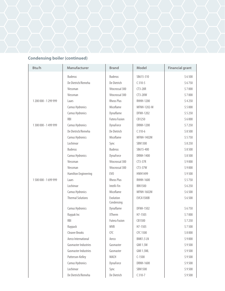

| Btu/h               | Manufacturer                | <b>Brand</b>            | Model            | <b>Financial grant</b> |
|---------------------|-----------------------------|-------------------------|------------------|------------------------|
|                     | <b>Buderus</b>              | <b>Buderus</b>          | SB615-310        | \$6500                 |
|                     | De Dietrich/Remeha          | De Dietrich             | $C310-5$         | \$6750                 |
|                     | Viessman                    | Vitocrossal 300         | $CT3-28R$        | \$7000                 |
|                     | Viessman                    | Vitocrossal 300         | CT3-28W          | \$7000                 |
| 1200 000 - 1299 999 | Laars                       | <b>Rheos Plus</b>       | <b>RHHH-1200</b> | \$4250                 |
|                     | Camus Hydronics             | Micoflame               | MFNH-1202-M      | \$5000                 |
|                     | Camus Hydronics             | Dynaflame               | <b>DFNH-1202</b> | \$5250                 |
|                     | <b>RBI</b>                  | <b>Futera Fusion</b>    | CB1250           | \$6000                 |
| 1300 000 - 1499 999 | Camus Hydronics             | DynaForce               | <b>DRNH-1200</b> | \$7250                 |
|                     | De Dietrich/Remeha          | De Dietrich             | $C310-6$         | \$8500                 |
|                     | Camus Hydronics             | Micoflame               | MFNH-1402M       | \$5750                 |
|                     | Lochinvar                   | Sync                    | <b>SBN1300</b>   | \$8250                 |
|                     | <b>Buderus</b>              | <b>Buderus</b>          | SB615-400        | \$8500                 |
|                     | Camus Hydronics             | DynaForce               | DRNH-1400        | \$8500                 |
|                     | Viessman                    | Vitocrossal 300         | $CT3-37R$        | \$9000                 |
|                     | Viessman                    | Vitocrossal 300         | $CT3-37W$        | \$9000                 |
|                     | Hamilton Engineering        | EV <sub>0</sub>         | HWH1499          | \$9500                 |
| 1500 000 - 1699 999 | Laars                       | <b>Rheos Plus</b>       | <b>RHHH-1600</b> | \$5750                 |
|                     | Lochinvar                   | Intelli-Fin             | <b>IBN1500</b>   | \$6250                 |
|                     | Camus Hydronics             | Micoflame               | MFNH-1602M       | \$6500                 |
|                     | <b>Thermal Solutions</b>    | Evolution<br>Condensing | EVCA1500B        | \$6500                 |
|                     | Camus Hydronics             | Dynaflame               | <b>DFNH-1502</b> | \$6750                 |
|                     | Raypak Inc                  | <b>XTherm</b>           | H7-1505          | \$7000                 |
|                     | <b>RBI</b>                  | <b>Futera Fusion</b>    | CB1500           | \$7250                 |
|                     | Raypack                     | <b>MVB</b>              | H7-1505          | \$7500                 |
|                     | <b>Cleaver Brooks</b>       | CFC                     | CFC 1500         | \$8000                 |
|                     | Aerco International         | Aerco                   | BMK1.5 LN        | \$9000                 |
|                     | <b>Gasmaster Industries</b> | Gasmaster               | <b>GMI 1.5M</b>  | \$9500                 |
|                     | <b>Gasmaster Industries</b> | Gasmaster               | <b>GMI 1.5ML</b> | \$9500                 |
|                     | Patterson-Kelley            | MACH                    | $C-1500$         | \$9500                 |
|                     | Camus Hydronics             | DynaForce               | DRNH-1600        | \$9500                 |
|                     | Lochinvar                   | Sync                    | <b>SBN1500</b>   | \$9500                 |
|                     | De Dietrich/Remeha          | De Dietrich             | $C310-7$         | \$9500                 |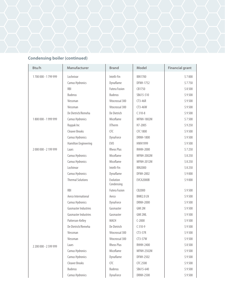

| Btu/h                 | Manufacturer                | <b>Brand</b>            | Model             | <b>Financial grant</b> |
|-----------------------|-----------------------------|-------------------------|-------------------|------------------------|
| 1700 000 - 1799 999   | Lochnivar                   | Intelli-Fin             | <b>IBN1700</b>    | \$7000                 |
|                       | Camus Hydronics             | Dynaflame               | <b>DFNH-1752</b>  | \$7750                 |
|                       | <b>RBI</b>                  | <b>Futera Fusion</b>    | CB1750            | \$8500                 |
|                       | <b>Buderus</b>              | <b>Buderus</b>          | SB615-510         | \$9500                 |
|                       | Viessman                    | Vitocrossal 300         | CT3-46R           | \$9500                 |
|                       | Viessman                    | Vitocrossal 300         | CT3-46W           | \$9500                 |
|                       | De Dietrich/Remeha          | De Dietrich             | $C310-8$          | \$9500                 |
| 1800 000 - 1999 999   | Camus Hydronics             | Micoflame               | <b>MFNH-1802M</b> | \$7500                 |
|                       | Raypak Inc                  | <b>XTherm</b>           | H7-2005           | \$9250                 |
|                       | <b>Cleaver Brooks</b>       | <b>CFC</b>              | CFC 1800          | \$9500                 |
|                       | Camus Hydronics             | DynaForce               | <b>DRNH-1800</b>  | \$9500                 |
|                       | Hamilton Engineering        | EV <sub>0</sub>         | <b>HWH1999</b>    | \$9500                 |
| 2000 000 - 2199 999   | Laars                       | <b>Rheos Plus</b>       | <b>RHHH-2000</b>  | \$7250                 |
|                       | Camus Hydronics             | Micoflame               | <b>MFNH-2002M</b> | \$8250                 |
|                       | Camus Hydronics             | Micoflame               | <b>MFNH-2012M</b> | \$8250                 |
|                       | Lochinvar                   | Intelli-Fin             | <b>IBN2000</b>    | \$8250                 |
|                       | Camus Hydronics             | Dynaflame               | <b>DFNH-2002</b>  | \$9000                 |
|                       | <b>Thermal Solutions</b>    | Evolution<br>Condensing | EVCA2000B         | \$9000                 |
|                       | <b>RBI</b>                  | <b>Futera Fusion</b>    | CB2000            | \$9500                 |
|                       | Aerco International         | Aerco                   | BMK2.0 LN         | \$9500                 |
|                       | Camus Hydronics             | DynaForce               | <b>DRNH-2000</b>  | \$9500                 |
|                       | <b>Gasmaster Industries</b> | Gasmaster               | GMI 2M            | \$9500                 |
|                       | <b>Gasmaster Industries</b> | Gasmaster               | GMI 2ML           | \$9500                 |
|                       | Patterson-Kelley            | MACH                    | $C-2000$          | \$9500                 |
|                       | De Dietrich/Remeha          | De Dietrich             | $C310-9$          | \$9500                 |
|                       | Viessman                    | Vitocrossal 300         | $CT3-57R$         | \$9500                 |
|                       | Viessman                    | Vitocrossal 300         | $CT3-57W$         | \$9500                 |
| 2 200 000 - 2 599 999 | Laars                       | <b>Rheos Plus</b>       | RHHH-2400         | \$8500                 |
|                       | Camus Hydronics             | Micoflame               | <b>MFNH-2502M</b> | \$9500                 |
|                       | Camus Hydronics             | Dynaflame               | <b>DFNH-2502</b>  | \$9500                 |
|                       | <b>Cleaver Brooks</b>       | CFC                     | CFC 2500          | \$9500                 |
|                       | <b>Buderus</b>              | <b>Buderus</b>          | SB615-640         | \$9500                 |
|                       | Camus Hydronics             | DynaForce               | <b>DRNH-2500</b>  | \$9500                 |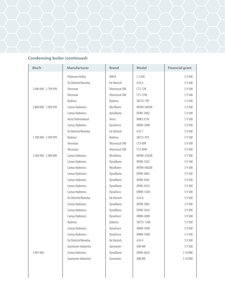

| Btu/h                 | Manufacturer                | <b>Brand</b>    | <b>Model</b>      | <b>Financial grant</b> |
|-----------------------|-----------------------------|-----------------|-------------------|------------------------|
|                       | Patterson-Kelley            | MACH            | $C-2500$          | \$9500                 |
|                       | De Dietrich/Remeha          | De Dietrich     | $610 - 6$         | \$9500                 |
| 2 600 000 - 2 799 999 | Viessman                    | Vitocrossal 300 | $CT3-72R$         | \$9500                 |
|                       | Viessman                    | Vitocrossal 300 | $CT3-72W$         | \$9500                 |
|                       | <b>Buderus</b>              | <b>Buderus</b>  | SB735-790         | \$9500                 |
| 2800 000 - 3099 999   | Camus Hydronics             | Micoflame       | MFNH-3002M        | \$9500                 |
|                       | Camus Hydronics             | Dynaflame       | <b>DFNH-3002</b>  | \$9500                 |
|                       | Aerco International         | Aerco           | BMK3.0 LN         | \$9500                 |
|                       | Camus Hydronics             | DynaForce       | DRNH-3000         | \$9500                 |
|                       | De Dietrich/Remeha          | De Dietrich     | 610-7             | \$9500                 |
| 3 100 000 - 3 499 999 | <b>Buderus</b>              | <b>Buderus</b>  | SB735-970         | \$9500                 |
|                       | Viessman                    | Vitocrossal 300 | CT3-89R           | \$9500                 |
|                       | Viessman                    | Vitocrossal 300 | CT3-89W           | \$9500                 |
| 3 500 000 - 5 000 000 | Camus Hydronics             | Micoflame       | <b>MFNH-3502M</b> | \$9500                 |
|                       | Camus Hydronics             | Dynaflame       | <b>DFNH-3502</b>  | \$9500                 |
|                       | Camus Hydronics             | Micoflame       | MFNH-4002M        | \$9500                 |
|                       | Camus Hydronics             | Dynaflame       | DFNH-4002         | \$9500                 |
|                       | Camus Hydronics             | Dynaflame       | <b>DFNH-4502</b>  | \$9500                 |
|                       | Camus Hydronics             | Dynaflame       | <b>DFNH-4524</b>  | \$9500                 |
|                       | Camus Hydronics             | DynaForce       | DRNH-3500         | \$9500                 |
|                       | De Dietrich/Remeha          | De Dietrich     | $610 - 8$         | \$9500                 |
|                       | Camus Hydronics             | Dynaflame       | DFNH-5002         | \$9500                 |
|                       | Camus Hydronics             | Dynaflame       | <b>DFNH-5024</b>  | \$9500                 |
|                       | Camus Hydronics             | DynaForce       | DRNH-4000         | \$9500                 |
|                       | <b>Buderus</b>              | <b>Buderus</b>  | SB735-1200        | \$9500                 |
|                       | Camus Hydronics             | DynaForce       | DRNH-4500         | \$9500                 |
|                       | Camus Hydronics             | DynaForce       | <b>DRNH-5000</b>  | \$9500                 |
|                       | De Dietrich/Remeha          | De Dietrich     | 610-9             | \$9500                 |
|                       | <b>Gasmaster Industries</b> | Gasmaster       | GMI 4M            | \$9500                 |
| 5 001 000             | Camus Hydronics             | Dynaflame       | DFNH-6024         | \$10 000               |
|                       | <b>Gasmaster Industries</b> | Gasmaster       | GMI 8M            | \$10 000               |
|                       |                             |                 |                   |                        |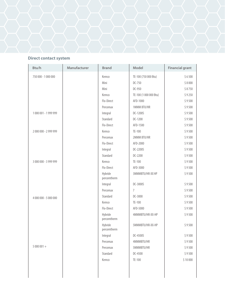#### **Direct contact system**

| Btu/h                 | Manufacturer | <b>Brand</b>           | Model                  | <b>Financial grant</b> |
|-----------------------|--------------|------------------------|------------------------|------------------------|
| 750 000 - 1 000 000   |              | Kemco                  | TE-100 (750 000 Btu)   | \$6500                 |
|                       |              | Mini                   | DC-750                 | \$8000                 |
|                       |              | Mini                   | DC-950                 | \$8750                 |
|                       |              | Kemco                  | TE-100 (1 000 000 Btu) | \$9250                 |
|                       |              | Flo-Direct             | AFD-1000               | \$9500                 |
|                       |              | Percomax               | 1MMM BTU/HR            | \$9500                 |
| 1000 001 - 1999 999   |              | Integral               | DC-1200S               | \$9500                 |
|                       |              | Standard               | DC-1200                | \$9500                 |
|                       |              | Flo-Direct             | AFD-1500               | \$9500                 |
| 2000 000 - 2999 999   |              | Kemco                  | TE-100                 | \$9500                 |
|                       |              | Percomax               | 2MMM BTU/HR            | \$9500                 |
|                       |              | Flo-Direct             | AFD-2000               | \$9500                 |
|                       |              | Integral               | DC-2200S               | \$9500                 |
|                       |              | Standard               | DC-2200                | \$9500                 |
| 3 000 000 - 3 999 999 |              | Kemco                  | TE-100                 | \$9500                 |
|                       |              | Flo-Direct             | AFD-3000               | \$9500                 |
|                       |              | Hybride<br>percomtherm | 3MMMBTU/HR-XX HP       | \$9500                 |
|                       |              | Integral               | DC-3000S               | \$9500                 |
|                       |              | Percomax               | $\overline{7}$         | \$9500                 |
| 4 000 000 - 5 000 000 |              | Standard               | DC-3000                | \$9500                 |
|                       |              | Kemco                  | TE-100                 | \$9500                 |
|                       |              | Flo-Direct             | AFD-5000               | \$9500                 |
|                       |              | Hybride<br>percomtherm | 4MMMBTU/HR-XX-HP       | \$9500                 |
|                       |              | Hybride<br>percomtherm | 5MMMBTU/HR-XX-HP       | \$9500                 |
|                       |              | Integral               | DC-4500S               | \$9500                 |
|                       |              | Percomax               | 4MMMBTU/HR             | \$9500                 |
| $5000001 +$           |              | Percomax               | 5MMMBTU/HR             | \$9500                 |
|                       |              | Standard               | DC-4500                | \$9500                 |
|                       |              | Kemco                  | TE-100                 | \$10 000               |
|                       |              |                        |                        |                        |
|                       |              |                        |                        |                        |